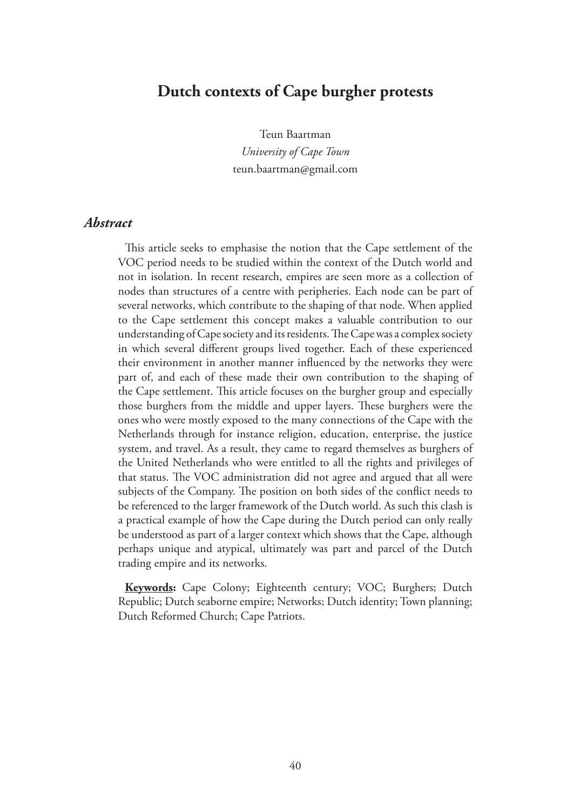# **Dutch contexts of Cape burgher protests**

Teun Baartman *University of Cape Town* teun.baartman@gmail.com

#### *Abstract*

This article seeks to emphasise the notion that the Cape settlement of the VOC period needs to be studied within the context of the Dutch world and not in isolation. In recent research, empires are seen more as a collection of nodes than structures of a centre with peripheries. Each node can be part of several networks, which contribute to the shaping of that node. When applied to the Cape settlement this concept makes a valuable contribution to our understanding of Cape society and its residents. The Cape was a complex society in which several different groups lived together. Each of these experienced their environment in another manner influenced by the networks they were part of, and each of these made their own contribution to the shaping of the Cape settlement. This article focuses on the burgher group and especially those burghers from the middle and upper layers. These burghers were the ones who were mostly exposed to the many connections of the Cape with the Netherlands through for instance religion, education, enterprise, the justice system, and travel. As a result, they came to regard themselves as burghers of the United Netherlands who were entitled to all the rights and privileges of that status. The VOC administration did not agree and argued that all were subjects of the Company. The position on both sides of the conflict needs to be referenced to the larger framework of the Dutch world. As such this clash is a practical example of how the Cape during the Dutch period can only really be understood as part of a larger context which shows that the Cape, although perhaps unique and atypical, ultimately was part and parcel of the Dutch trading empire and its networks.

**Keywords:** Cape Colony; Eighteenth century; VOC; Burghers; Dutch Republic; Dutch seaborne empire; Networks; Dutch identity; Town planning; Dutch Reformed Church; Cape Patriots.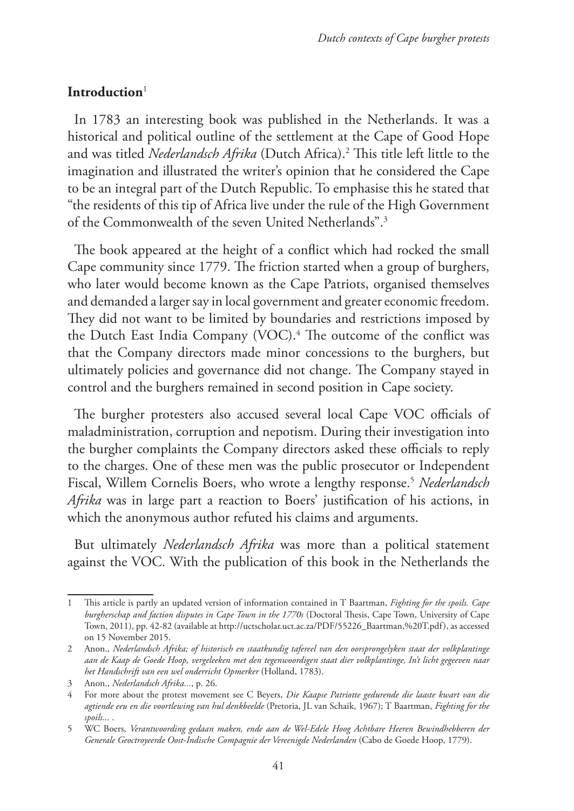## **Introduction**<sup>1</sup>

In 1783 an interesting book was published in the Netherlands. It was a historical and political outline of the settlement at the Cape of Good Hope and was titled *Nederlandsch Afrika* (Dutch Africa).2 This title left little to the imagination and illustrated the writer's opinion that he considered the Cape to be an integral part of the Dutch Republic. To emphasise this he stated that "the residents of this tip of Africa live under the rule of the High Government of the Commonwealth of the seven United Netherlands".3

The book appeared at the height of a conflict which had rocked the small Cape community since 1779. The friction started when a group of burghers, who later would become known as the Cape Patriots, organised themselves and demanded a larger say in local government and greater economic freedom. They did not want to be limited by boundaries and restrictions imposed by the Dutch East India Company (VOC).<sup>4</sup> The outcome of the conflict was that the Company directors made minor concessions to the burghers, but ultimately policies and governance did not change. The Company stayed in control and the burghers remained in second position in Cape society.

The burgher protesters also accused several local Cape VOC officials of maladministration, corruption and nepotism. During their investigation into the burgher complaints the Company directors asked these officials to reply to the charges. One of these men was the public prosecutor or Independent Fiscal, Willem Cornelis Boers, who wrote a lengthy response.5 *Nederlandsch Afrika* was in large part a reaction to Boers' justification of his actions, in which the anonymous author refuted his claims and arguments.

But ultimately *Nederlandsch Afrika* was more than a political statement against the VOC. With the publication of this book in the Netherlands the

<sup>1</sup> This article is partly an updated version of information contained in T Baartman, *Fighting for the spoils. Cape burgherschap and faction disputes in Cape Town in the 1770s* (Doctoral Thesis, Cape Town, University of Cape Town, 2011), pp. 42-82 (available at http://uctscholar.uct.ac.za/PDF/55226\_Baartman,%20T.pdf), as accessed on 15 November 2015.

<sup>2</sup> Anon., *Nederlandsch Afrika; of historisch en staatkundig tafereel van den oorsprongelyken staat der volkplantinge aan de Kaap de Goede Hoop, vergeleeken met den tegenwoordigen staat dier volkplantinge, In't licht gegeeven naar het Handschrift van een wel onderricht Opmerker* (Holland, 1783).

<sup>3</sup> Anon., *Nederlandsch Afrika...*, p. 26.

<sup>4</sup> For more about the protest movement see C Beyers, *Die Kaapse Patriotte gedurende die laaste kwart van die agtiende eeu en die voortlewing van hul denkbeelde* (Pretoria, JL van Schaik, 1967); T Baartman, *Fighting for the spoils...* .

<sup>5</sup> WC Boers, *Verantwoording gedaan maken, ende aan de Wel-Edele Hoog Achtbare Heeren Bewindhebberen der Generale Geoctroyeerde Oost-Indische Compagnie der Vereenigde Nederlanden* (Cabo de Goede Hoop, 1779).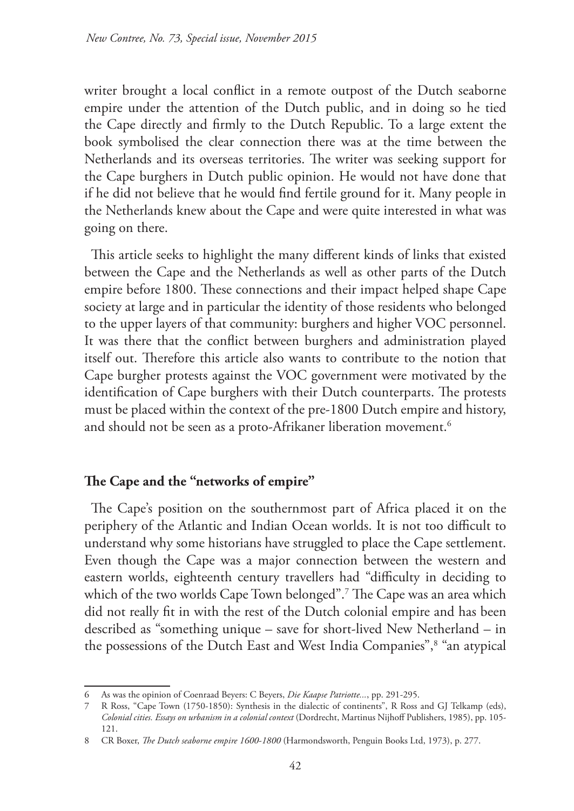writer brought a local conflict in a remote outpost of the Dutch seaborne empire under the attention of the Dutch public, and in doing so he tied the Cape directly and firmly to the Dutch Republic. To a large extent the book symbolised the clear connection there was at the time between the Netherlands and its overseas territories. The writer was seeking support for the Cape burghers in Dutch public opinion. He would not have done that if he did not believe that he would find fertile ground for it. Many people in the Netherlands knew about the Cape and were quite interested in what was going on there.

This article seeks to highlight the many different kinds of links that existed between the Cape and the Netherlands as well as other parts of the Dutch empire before 1800. These connections and their impact helped shape Cape society at large and in particular the identity of those residents who belonged to the upper layers of that community: burghers and higher VOC personnel. It was there that the conflict between burghers and administration played itself out. Therefore this article also wants to contribute to the notion that Cape burgher protests against the VOC government were motivated by the identification of Cape burghers with their Dutch counterparts. The protests must be placed within the context of the pre-1800 Dutch empire and history, and should not be seen as a proto-Afrikaner liberation movement.<sup>6</sup>

## **The Cape and the "networks of empire"**

The Cape's position on the southernmost part of Africa placed it on the periphery of the Atlantic and Indian Ocean worlds. It is not too difficult to understand why some historians have struggled to place the Cape settlement. Even though the Cape was a major connection between the western and eastern worlds, eighteenth century travellers had "difficulty in deciding to which of the two worlds Cape Town belonged".7 The Cape was an area which did not really fit in with the rest of the Dutch colonial empire and has been described as "something unique – save for short-lived New Netherland – in the possessions of the Dutch East and West India Companies",<sup>8</sup> "an atypical

<sup>6</sup> As was the opinion of Coenraad Beyers: C Beyers, *Die Kaapse Patriotte...*, pp. 291-295.

<sup>7</sup> R Ross, "Cape Town (1750-1850): Synthesis in the dialectic of continents", R Ross and GJ Telkamp (eds), *Colonial cities. Essays on urbanism in a colonial context* (Dordrecht, Martinus Nijhoff Publishers, 1985), pp. 105- 121.

<sup>8</sup> CR Boxer, *The Dutch seaborne empire 1600-1800* (Harmondsworth, Penguin Books Ltd, 1973), p. 277.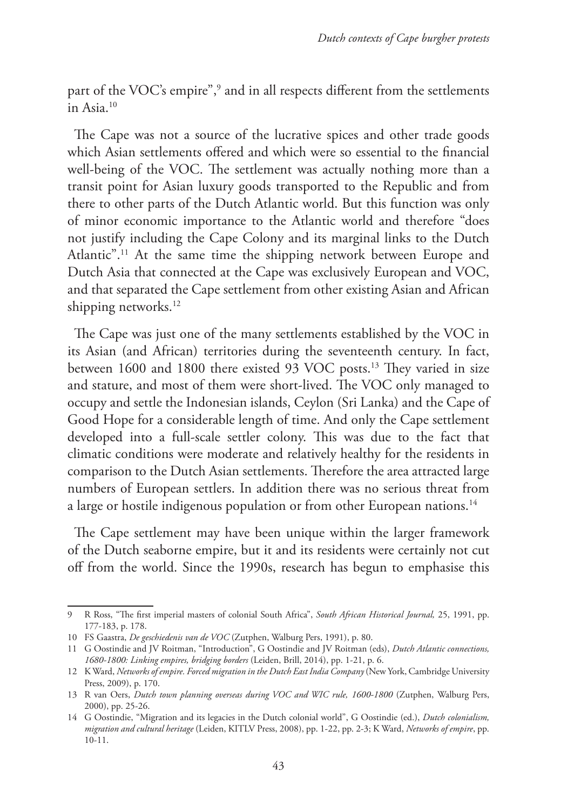part of the VOC's empire",<sup>9</sup> and in all respects different from the settlements in Asia.10

The Cape was not a source of the lucrative spices and other trade goods which Asian settlements offered and which were so essential to the financial well-being of the VOC. The settlement was actually nothing more than a transit point for Asian luxury goods transported to the Republic and from there to other parts of the Dutch Atlantic world. But this function was only of minor economic importance to the Atlantic world and therefore "does not justify including the Cape Colony and its marginal links to the Dutch Atlantic".<sup>11</sup> At the same time the shipping network between Europe and Dutch Asia that connected at the Cape was exclusively European and VOC, and that separated the Cape settlement from other existing Asian and African shipping networks.<sup>12</sup>

The Cape was just one of the many settlements established by the VOC in its Asian (and African) territories during the seventeenth century. In fact, between 1600 and 1800 there existed 93 VOC posts.<sup>13</sup> They varied in size and stature, and most of them were short-lived. The VOC only managed to occupy and settle the Indonesian islands, Ceylon (Sri Lanka) and the Cape of Good Hope for a considerable length of time. And only the Cape settlement developed into a full-scale settler colony. This was due to the fact that climatic conditions were moderate and relatively healthy for the residents in comparison to the Dutch Asian settlements. Therefore the area attracted large numbers of European settlers. In addition there was no serious threat from a large or hostile indigenous population or from other European nations.<sup>14</sup>

The Cape settlement may have been unique within the larger framework of the Dutch seaborne empire, but it and its residents were certainly not cut off from the world. Since the 1990s, research has begun to emphasise this

<sup>9</sup> R Ross, "The first imperial masters of colonial South Africa", *South African Historical Journal,* 25, 1991, pp. 177-183, p. 178.

<sup>10</sup> FS Gaastra, *De geschiedenis van de VOC* (Zutphen, Walburg Pers, 1991), p. 80.

<sup>11</sup> G Oostindie and JV Roitman, "Introduction", G Oostindie and JV Roitman (eds), *Dutch Atlantic connections, 1680-1800: Linking empires, bridging borders* (Leiden, Brill, 2014), pp. 1-21, p. 6.

<sup>12</sup> K Ward, *Networks of empire. Forced migration in the Dutch East India Company* (New York, Cambridge University Press, 2009), p. 170.

<sup>13</sup> R van Oers, *Dutch town planning overseas during VOC and WIC rule, 1600-1800* (Zutphen, Walburg Pers, 2000), pp. 25-26.

<sup>14</sup> G Oostindie, "Migration and its legacies in the Dutch colonial world", G Oostindie (ed.), *Dutch colonialism, migration and cultural heritage* (Leiden, KITLV Press, 2008), pp. 1-22, pp. 2-3; K Ward, *Networks of empire*, pp. 10-11.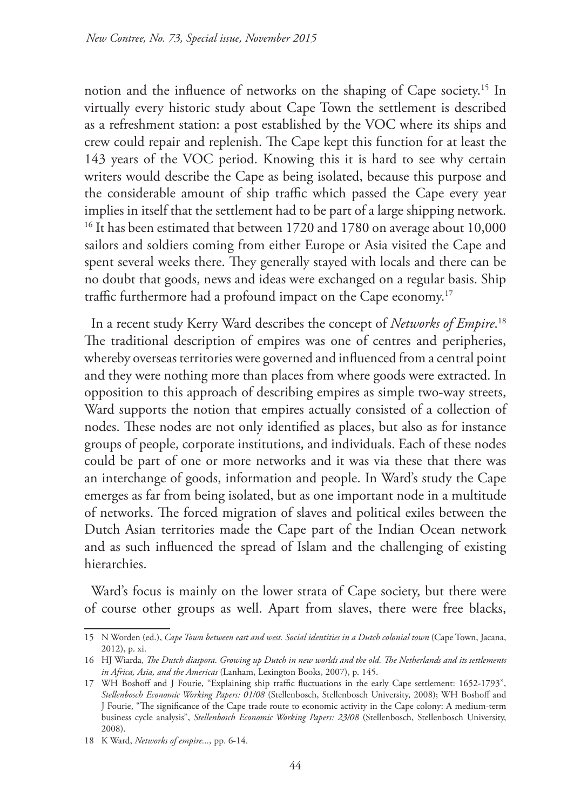notion and the influence of networks on the shaping of Cape society.15 In virtually every historic study about Cape Town the settlement is described as a refreshment station: a post established by the VOC where its ships and crew could repair and replenish. The Cape kept this function for at least the 143 years of the VOC period. Knowing this it is hard to see why certain writers would describe the Cape as being isolated, because this purpose and the considerable amount of ship traffic which passed the Cape every year implies in itself that the settlement had to be part of a large shipping network. <sup>16</sup> It has been estimated that between 1720 and 1780 on average about 10,000 sailors and soldiers coming from either Europe or Asia visited the Cape and spent several weeks there. They generally stayed with locals and there can be no doubt that goods, news and ideas were exchanged on a regular basis. Ship traffic furthermore had a profound impact on the Cape economy.17

In a recent study Kerry Ward describes the concept of *Networks of Empire*. 18 The traditional description of empires was one of centres and peripheries, whereby overseas territories were governed and influenced from a central point and they were nothing more than places from where goods were extracted. In opposition to this approach of describing empires as simple two-way streets, Ward supports the notion that empires actually consisted of a collection of nodes. These nodes are not only identified as places, but also as for instance groups of people, corporate institutions, and individuals. Each of these nodes could be part of one or more networks and it was via these that there was an interchange of goods, information and people. In Ward's study the Cape emerges as far from being isolated, but as one important node in a multitude of networks. The forced migration of slaves and political exiles between the Dutch Asian territories made the Cape part of the Indian Ocean network and as such influenced the spread of Islam and the challenging of existing hierarchies.

Ward's focus is mainly on the lower strata of Cape society, but there were of course other groups as well. Apart from slaves, there were free blacks,

<sup>15</sup> N Worden (ed.), *Cape Town between east and west. Social identities in a Dutch colonial town* (Cape Town, Jacana, 2012), p. xi.

<sup>16</sup> HJ Wiarda, *The Dutch diaspora. Growing up Dutch in new worlds and the old. The Netherlands and its settlements in Africa, Asia, and the Americas* (Lanham, Lexington Books, 2007), p. 145.

<sup>17</sup> WH Boshoff and J Fourie, "Explaining ship traffic fluctuations in the early Cape settlement: 1652-1793", *Stellenbosch Economic Working Papers: 01/08* (Stellenbosch, Stellenbosch University, 2008); WH Boshoff and J Fourie, "The significance of the Cape trade route to economic activity in the Cape colony: A medium-term business cycle analysis", *Stellenbosch Economic Working Papers: 23/08* (Stellenbosch, Stellenbosch University, 2008).

<sup>18</sup> K Ward, *Networks of empire...,* pp. 6-14.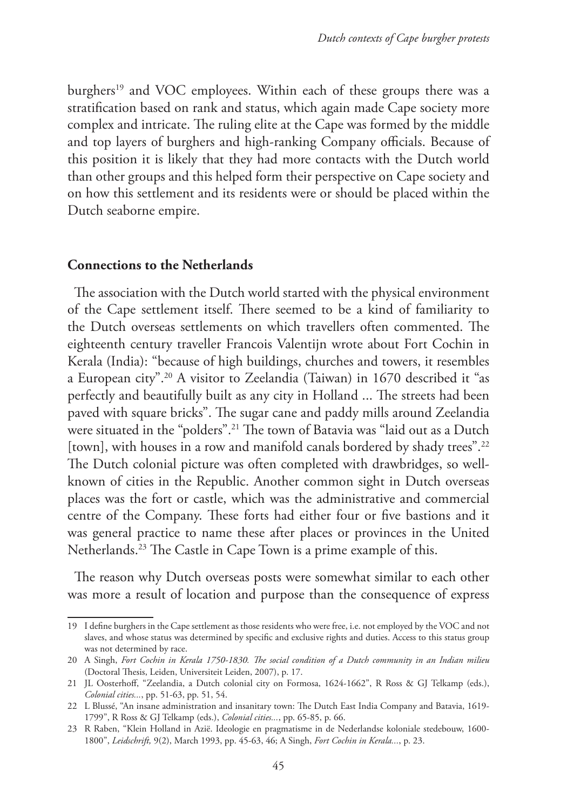burghers<sup>19</sup> and VOC employees. Within each of these groups there was a stratification based on rank and status, which again made Cape society more complex and intricate. The ruling elite at the Cape was formed by the middle and top layers of burghers and high-ranking Company officials. Because of this position it is likely that they had more contacts with the Dutch world than other groups and this helped form their perspective on Cape society and on how this settlement and its residents were or should be placed within the Dutch seaborne empire.

#### **Connections to the Netherlands**

The association with the Dutch world started with the physical environment of the Cape settlement itself. There seemed to be a kind of familiarity to the Dutch overseas settlements on which travellers often commented. The eighteenth century traveller Francois Valentijn wrote about Fort Cochin in Kerala (India): "because of high buildings, churches and towers, it resembles a European city".20 A visitor to Zeelandia (Taiwan) in 1670 described it "as perfectly and beautifully built as any city in Holland ... The streets had been paved with square bricks". The sugar cane and paddy mills around Zeelandia were situated in the "polders".<sup>21</sup> The town of Batavia was "laid out as a Dutch [town], with houses in a row and manifold canals bordered by shady trees".<sup>22</sup> The Dutch colonial picture was often completed with drawbridges, so wellknown of cities in the Republic. Another common sight in Dutch overseas places was the fort or castle, which was the administrative and commercial centre of the Company. These forts had either four or five bastions and it was general practice to name these after places or provinces in the United Netherlands.<sup>23</sup> The Castle in Cape Town is a prime example of this.

The reason why Dutch overseas posts were somewhat similar to each other was more a result of location and purpose than the consequence of express

<sup>19</sup> I define burghers in the Cape settlement as those residents who were free, i.e. not employed by the VOC and not slaves, and whose status was determined by specific and exclusive rights and duties. Access to this status group was not determined by race.

<sup>20</sup> A Singh, *Fort Cochin in Kerala 1750-1830. The social condition of a Dutch community in an Indian milieu* (Doctoral Thesis, Leiden, Universiteit Leiden, 2007), p. 17.

<sup>21</sup> JL Oosterhoff, "Zeelandia, a Dutch colonial city on Formosa, 1624-1662", R Ross & GJ Telkamp (eds.), *Colonial cities...*, pp. 51-63, pp. 51, 54.

<sup>22</sup> L Blussé, "An insane administration and insanitary town: The Dutch East India Company and Batavia, 1619- 1799", R Ross & GJ Telkamp (eds.), *Colonial cities...*, pp. 65-85, p. 66.

<sup>23</sup> R Raben, "Klein Holland in Azië. Ideologie en pragmatisme in de Nederlandse koloniale stedebouw, 1600- 1800", *Leidschrift,* 9(2), March 1993, pp. 45-63, 46; A Singh, *Fort Cochin in Kerala...*, p. 23.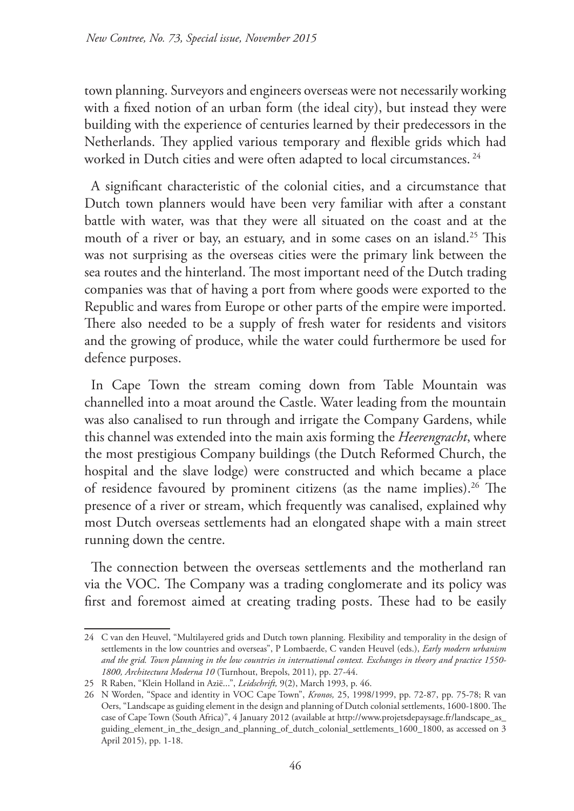town planning. Surveyors and engineers overseas were not necessarily working with a fixed notion of an urban form (the ideal city), but instead they were building with the experience of centuries learned by their predecessors in the Netherlands. They applied various temporary and flexible grids which had worked in Dutch cities and were often adapted to local circumstances.<sup>24</sup>

A significant characteristic of the colonial cities, and a circumstance that Dutch town planners would have been very familiar with after a constant battle with water, was that they were all situated on the coast and at the mouth of a river or bay, an estuary, and in some cases on an island.<sup>25</sup> This was not surprising as the overseas cities were the primary link between the sea routes and the hinterland. The most important need of the Dutch trading companies was that of having a port from where goods were exported to the Republic and wares from Europe or other parts of the empire were imported. There also needed to be a supply of fresh water for residents and visitors and the growing of produce, while the water could furthermore be used for defence purposes.

In Cape Town the stream coming down from Table Mountain was channelled into a moat around the Castle. Water leading from the mountain was also canalised to run through and irrigate the Company Gardens, while this channel was extended into the main axis forming the *Heerengracht*, where the most prestigious Company buildings (the Dutch Reformed Church, the hospital and the slave lodge) were constructed and which became a place of residence favoured by prominent citizens (as the name implies).<sup>26</sup> The presence of a river or stream, which frequently was canalised, explained why most Dutch overseas settlements had an elongated shape with a main street running down the centre.

The connection between the overseas settlements and the motherland ran via the VOC. The Company was a trading conglomerate and its policy was first and foremost aimed at creating trading posts. These had to be easily

<sup>24</sup> C van den Heuvel, "Multilayered grids and Dutch town planning. Flexibility and temporality in the design of settlements in the low countries and overseas", P Lombaerde, C vanden Heuvel (eds.), *Early modern urbanism and the grid. Town planning in the low countries in international context. Exchanges in theory and practice 1550- 1800, Architectura Moderna 10* (Turnhout, Brepols, 2011), pp. 27-44.

<sup>25</sup> R Raben, "Klein Holland in Azië...", *Leidschrift,* 9(2), March 1993, p. 46.

<sup>26</sup> N Worden, "Space and identity in VOC Cape Town", *Kronos,* 25, 1998/1999, pp. 72-87, pp. 75-78; R van Oers, "Landscape as guiding element in the design and planning of Dutch colonial settlements, 1600-1800. The case of Cape Town (South Africa)", 4 January 2012 (available at http://www.projetsdepaysage.fr/landscape\_as\_ guiding\_element\_in\_the\_design\_and\_planning\_of\_dutch\_colonial\_settlements\_1600\_1800, as accessed on 3 April 2015), pp. 1-18.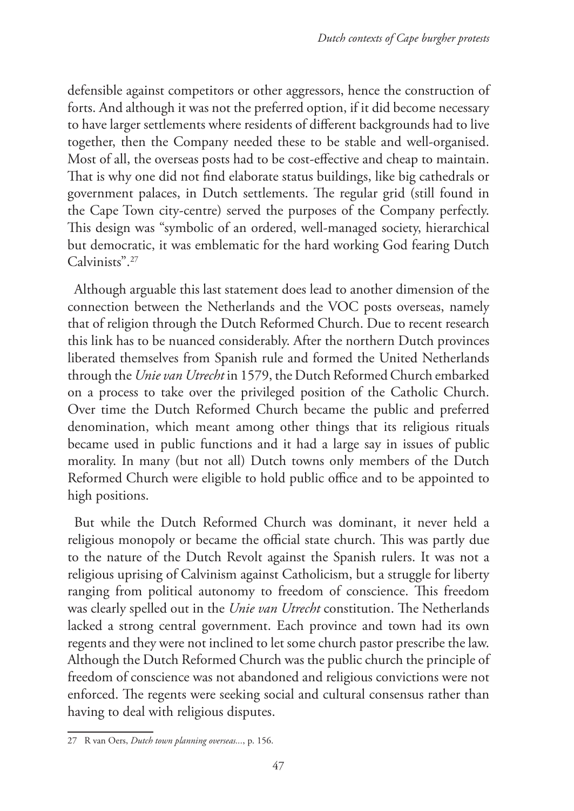defensible against competitors or other aggressors, hence the construction of forts. And although it was not the preferred option, if it did become necessary to have larger settlements where residents of different backgrounds had to live together, then the Company needed these to be stable and well-organised. Most of all, the overseas posts had to be cost-effective and cheap to maintain. That is why one did not find elaborate status buildings, like big cathedrals or government palaces, in Dutch settlements. The regular grid (still found in the Cape Town city-centre) served the purposes of the Company perfectly. This design was "symbolic of an ordered, well-managed society, hierarchical but democratic, it was emblematic for the hard working God fearing Dutch Calvinists".27

Although arguable this last statement does lead to another dimension of the connection between the Netherlands and the VOC posts overseas, namely that of religion through the Dutch Reformed Church. Due to recent research this link has to be nuanced considerably. After the northern Dutch provinces liberated themselves from Spanish rule and formed the United Netherlands through the *Unie van Utrecht* in 1579, the Dutch Reformed Church embarked on a process to take over the privileged position of the Catholic Church. Over time the Dutch Reformed Church became the public and preferred denomination, which meant among other things that its religious rituals became used in public functions and it had a large say in issues of public morality. In many (but not all) Dutch towns only members of the Dutch Reformed Church were eligible to hold public office and to be appointed to high positions.

But while the Dutch Reformed Church was dominant, it never held a religious monopoly or became the official state church. This was partly due to the nature of the Dutch Revolt against the Spanish rulers. It was not a religious uprising of Calvinism against Catholicism, but a struggle for liberty ranging from political autonomy to freedom of conscience. This freedom was clearly spelled out in the *Unie van Utrecht* constitution. The Netherlands lacked a strong central government. Each province and town had its own regents and they were not inclined to let some church pastor prescribe the law. Although the Dutch Reformed Church was the public church the principle of freedom of conscience was not abandoned and religious convictions were not enforced. The regents were seeking social and cultural consensus rather than having to deal with religious disputes.

<sup>27</sup> R van Oers, *Dutch town planning overseas...*, p. 156.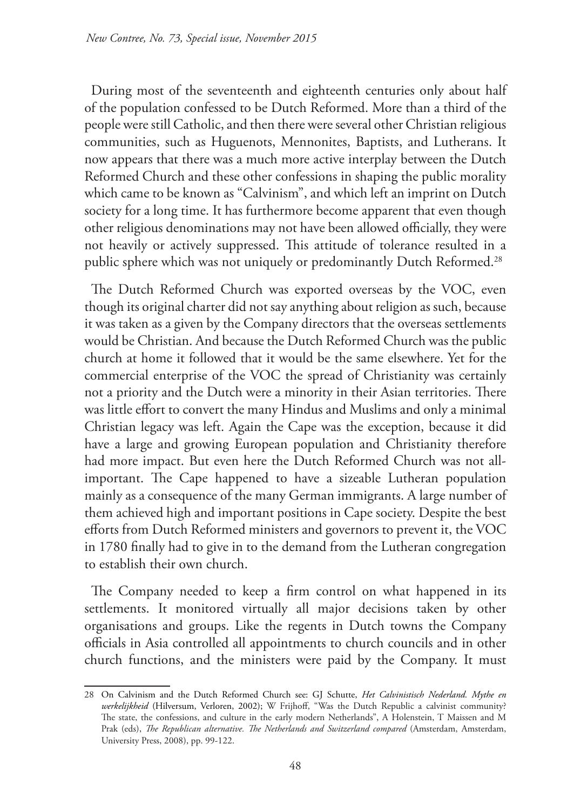During most of the seventeenth and eighteenth centuries only about half of the population confessed to be Dutch Reformed. More than a third of the people were still Catholic, and then there were several other Christian religious communities, such as Huguenots, Mennonites, Baptists, and Lutherans. It now appears that there was a much more active interplay between the Dutch Reformed Church and these other confessions in shaping the public morality which came to be known as "Calvinism", and which left an imprint on Dutch society for a long time. It has furthermore become apparent that even though other religious denominations may not have been allowed officially, they were not heavily or actively suppressed. This attitude of tolerance resulted in a public sphere which was not uniquely or predominantly Dutch Reformed.<sup>28</sup>

The Dutch Reformed Church was exported overseas by the VOC, even though its original charter did not say anything about religion as such, because it was taken as a given by the Company directors that the overseas settlements would be Christian. And because the Dutch Reformed Church was the public church at home it followed that it would be the same elsewhere. Yet for the commercial enterprise of the VOC the spread of Christianity was certainly not a priority and the Dutch were a minority in their Asian territories. There was little effort to convert the many Hindus and Muslims and only a minimal Christian legacy was left. Again the Cape was the exception, because it did have a large and growing European population and Christianity therefore had more impact. But even here the Dutch Reformed Church was not allimportant. The Cape happened to have a sizeable Lutheran population mainly as a consequence of the many German immigrants. A large number of them achieved high and important positions in Cape society. Despite the best efforts from Dutch Reformed ministers and governors to prevent it, the VOC in 1780 finally had to give in to the demand from the Lutheran congregation to establish their own church.

The Company needed to keep a firm control on what happened in its settlements. It monitored virtually all major decisions taken by other organisations and groups. Like the regents in Dutch towns the Company officials in Asia controlled all appointments to church councils and in other church functions, and the ministers were paid by the Company. It must

<sup>28</sup> On Calvinism and the Dutch Reformed Church see: GJ Schutte, *Het Calvinistisch Nederland. Mythe en werkelijkheid* (Hilversum, Verloren, 2002); W Frijhoff, "Was the Dutch Republic a calvinist community? The state, the confessions, and culture in the early modern Netherlands", A Holenstein, T Maissen and M Prak (eds), *The Republican alternative. The Netherlands and Switzerland compared* (Amsterdam, Amsterdam, University Press, 2008), pp. 99-122.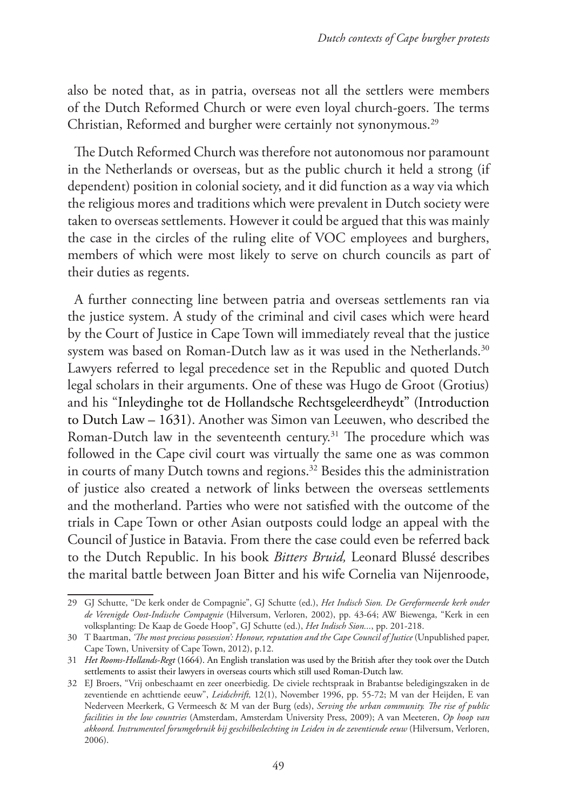also be noted that, as in patria, overseas not all the settlers were members of the Dutch Reformed Church or were even loyal church-goers. The terms Christian, Reformed and burgher were certainly not synonymous.<sup>29</sup>

The Dutch Reformed Church was therefore not autonomous nor paramount in the Netherlands or overseas, but as the public church it held a strong (if dependent) position in colonial society, and it did function as a way via which the religious mores and traditions which were prevalent in Dutch society were taken to overseas settlements. However it could be argued that this was mainly the case in the circles of the ruling elite of VOC employees and burghers, members of which were most likely to serve on church councils as part of their duties as regents.

A further connecting line between patria and overseas settlements ran via the justice system. A study of the criminal and civil cases which were heard by the Court of Justice in Cape Town will immediately reveal that the justice system was based on Roman-Dutch law as it was used in the Netherlands.<sup>30</sup> Lawyers referred to legal precedence set in the Republic and quoted Dutch legal scholars in their arguments. One of these was Hugo de Groot (Grotius) and his "Inleydinghe tot de Hollandsche Rechtsgeleerdheydt" (Introduction to Dutch Law – 1631). Another was Simon van Leeuwen, who described the Roman-Dutch law in the seventeenth century.<sup>31</sup> The procedure which was followed in the Cape civil court was virtually the same one as was common in courts of many Dutch towns and regions.<sup>32</sup> Besides this the administration of justice also created a network of links between the overseas settlements and the motherland. Parties who were not satisfied with the outcome of the trials in Cape Town or other Asian outposts could lodge an appeal with the Council of Justice in Batavia. From there the case could even be referred back to the Dutch Republic. In his book *Bitters Bruid,* Leonard Blussé describes the marital battle between Joan Bitter and his wife Cornelia van Nijenroode,

<sup>29</sup> GJ Schutte, "De kerk onder de Compagnie", GJ Schutte (ed.), *Het Indisch Sion. De Gereformeerde kerk onder de Verenigde Oost-Indische Compagnie* (Hilversum, Verloren, 2002), pp. 43-64; AW Biewenga, "Kerk in een volksplanting: De Kaap de Goede Hoop", GJ Schutte (ed.), *Het Indisch Sion...*, pp. 201-218.

<sup>30</sup> T Baartman, *'The most precious possession': Honour, reputation and the Cape Council of Justice* (Unpublished paper, Cape Town, University of Cape Town, 2012), p.12.

<sup>31</sup> *Het Rooms-Hollands-Regt* (1664). An English translation was used by the British after they took over the Dutch settlements to assist their lawyers in overseas courts which still used Roman-Dutch law.

<sup>32</sup> EJ Broers, "Vrij onbeschaamt en zeer oneerbiedig. De civiele rechtspraak in Brabantse beledigingszaken in de zeventiende en achttiende eeuw", *Leidschrift,* 12(1), November 1996, pp. 55-72; M van der Heijden, E van Nederveen Meerkerk, G Vermeesch & M van der Burg (eds), *Serving the urban community. The rise of public facilities in the low countries* (Amsterdam, Amsterdam University Press, 2009); A van Meeteren, *Op hoop van akkoord. Instrumenteel forumgebruik bij geschilbeslechting in Leiden in de zeventiende eeuw* (Hilversum, Verloren, 2006).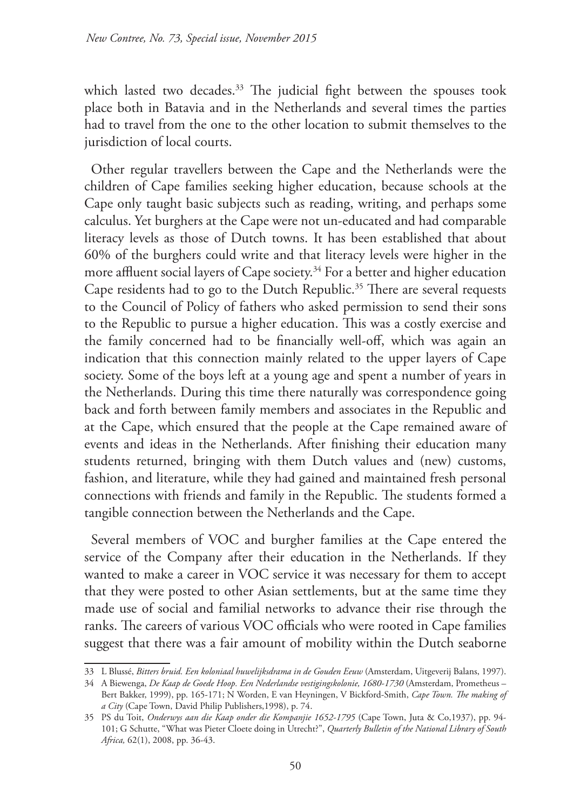which lasted two decades.<sup>33</sup> The judicial fight between the spouses took place both in Batavia and in the Netherlands and several times the parties had to travel from the one to the other location to submit themselves to the jurisdiction of local courts.

Other regular travellers between the Cape and the Netherlands were the children of Cape families seeking higher education, because schools at the Cape only taught basic subjects such as reading, writing, and perhaps some calculus. Yet burghers at the Cape were not un-educated and had comparable literacy levels as those of Dutch towns. It has been established that about 60% of the burghers could write and that literacy levels were higher in the more affluent social layers of Cape society.<sup>34</sup> For a better and higher education Cape residents had to go to the Dutch Republic.<sup>35</sup> There are several requests to the Council of Policy of fathers who asked permission to send their sons to the Republic to pursue a higher education. This was a costly exercise and the family concerned had to be financially well-off, which was again an indication that this connection mainly related to the upper layers of Cape society. Some of the boys left at a young age and spent a number of years in the Netherlands. During this time there naturally was correspondence going back and forth between family members and associates in the Republic and at the Cape, which ensured that the people at the Cape remained aware of events and ideas in the Netherlands. After finishing their education many students returned, bringing with them Dutch values and (new) customs, fashion, and literature, while they had gained and maintained fresh personal connections with friends and family in the Republic. The students formed a tangible connection between the Netherlands and the Cape.

Several members of VOC and burgher families at the Cape entered the service of the Company after their education in the Netherlands. If they wanted to make a career in VOC service it was necessary for them to accept that they were posted to other Asian settlements, but at the same time they made use of social and familial networks to advance their rise through the ranks. The careers of various VOC officials who were rooted in Cape families suggest that there was a fair amount of mobility within the Dutch seaborne

<sup>33</sup> L Blussé, *Bitters bruid. Een koloniaal huwelijksdrama in de Gouden Eeuw* (Amsterdam, Uitgeverij Balans, 1997).

<sup>34</sup> A Biewenga, *De Kaap de Goede Hoop. Een Nederlandse vestigingskolonie, 1680-1730* (Amsterdam, Prometheus – Bert Bakker, 1999), pp. 165-171; N Worden, E van Heyningen, V Bickford-Smith, *Cape Town. The making of a City* (Cape Town, David Philip Publishers,1998), p. 74.

<sup>35</sup> PS du Toit, *Onderwys aan die Kaap onder die Kompanjie 1652-1795* (Cape Town, Juta & Co,1937), pp. 94- 101; G Schutte, "What was Pieter Cloete doing in Utrecht?", *Quarterly Bulletin of the National Library of South Africa,* 62(1), 2008, pp. 36-43.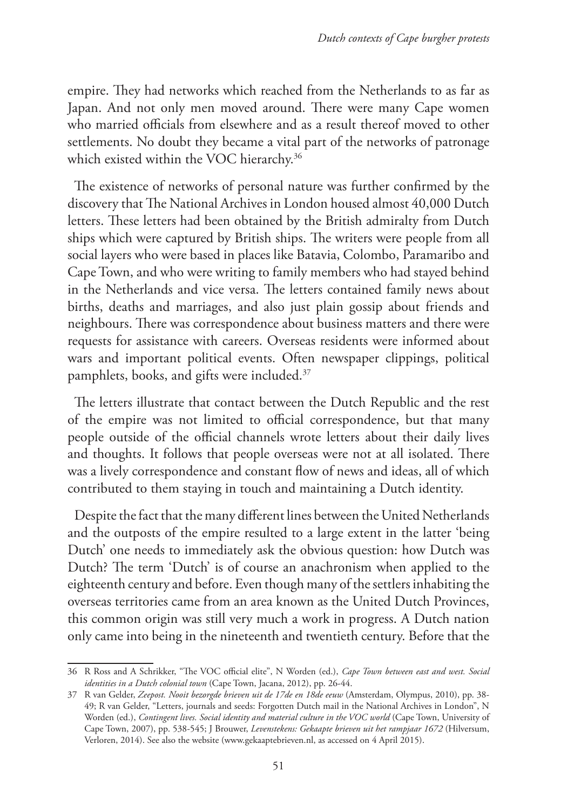empire. They had networks which reached from the Netherlands to as far as Japan. And not only men moved around. There were many Cape women who married officials from elsewhere and as a result thereof moved to other settlements. No doubt they became a vital part of the networks of patronage which existed within the VOC hierarchy.<sup>36</sup>

The existence of networks of personal nature was further confirmed by the discovery that The National Archives in London housed almost 40,000 Dutch letters. These letters had been obtained by the British admiralty from Dutch ships which were captured by British ships. The writers were people from all social layers who were based in places like Batavia, Colombo, Paramaribo and Cape Town, and who were writing to family members who had stayed behind in the Netherlands and vice versa. The letters contained family news about births, deaths and marriages, and also just plain gossip about friends and neighbours. There was correspondence about business matters and there were requests for assistance with careers. Overseas residents were informed about wars and important political events. Often newspaper clippings, political pamphlets, books, and gifts were included.37

The letters illustrate that contact between the Dutch Republic and the rest of the empire was not limited to official correspondence, but that many people outside of the official channels wrote letters about their daily lives and thoughts. It follows that people overseas were not at all isolated. There was a lively correspondence and constant flow of news and ideas, all of which contributed to them staying in touch and maintaining a Dutch identity.

Despite the fact that the many different lines between the United Netherlands and the outposts of the empire resulted to a large extent in the latter 'being Dutch' one needs to immediately ask the obvious question: how Dutch was Dutch? The term 'Dutch' is of course an anachronism when applied to the eighteenth century and before. Even though many of the settlers inhabiting the overseas territories came from an area known as the United Dutch Provinces, this common origin was still very much a work in progress. A Dutch nation only came into being in the nineteenth and twentieth century. Before that the

<sup>36</sup> R Ross and A Schrikker, "The VOC official elite", N Worden (ed.), *Cape Town between east and west. Social identities in a Dutch colonial town* (Cape Town, Jacana, 2012), pp. 26-44.

<sup>37</sup> R van Gelder, *Zeepost. Nooit bezorgde brieven uit de 17de en 18de eeuw* (Amsterdam, Olympus, 2010), pp. 38- 49; R van Gelder, "Letters, journals and seeds: Forgotten Dutch mail in the National Archives in London", N Worden (ed.), *Contingent lives. Social identity and material culture in the VOC world* (Cape Town, University of Cape Town, 2007), pp. 538-545; J Brouwer, *Levenstekens: Gekaapte brieven uit het rampjaar 1672* (Hilversum, Verloren, 2014). See also the website (www.gekaaptebrieven.nl, as accessed on 4 April 2015).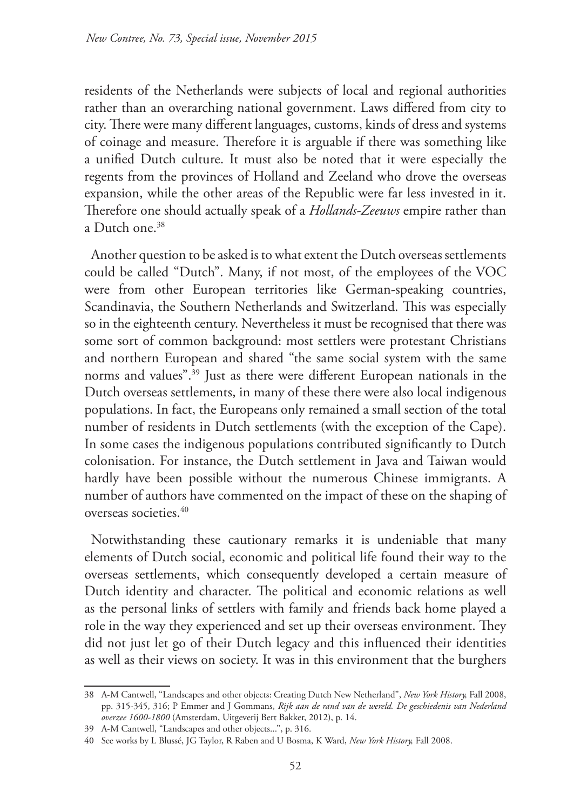residents of the Netherlands were subjects of local and regional authorities rather than an overarching national government. Laws differed from city to city. There were many different languages, customs, kinds of dress and systems of coinage and measure. Therefore it is arguable if there was something like a unified Dutch culture. It must also be noted that it were especially the regents from the provinces of Holland and Zeeland who drove the overseas expansion, while the other areas of the Republic were far less invested in it. Therefore one should actually speak of a *Hollands-Zeeuws* empire rather than a Dutch one.<sup>38</sup>

Another question to be asked is to what extent the Dutch overseas settlements could be called "Dutch". Many, if not most, of the employees of the VOC were from other European territories like German-speaking countries, Scandinavia, the Southern Netherlands and Switzerland. This was especially so in the eighteenth century. Nevertheless it must be recognised that there was some sort of common background: most settlers were protestant Christians and northern European and shared "the same social system with the same norms and values".39 Just as there were different European nationals in the Dutch overseas settlements, in many of these there were also local indigenous populations. In fact, the Europeans only remained a small section of the total number of residents in Dutch settlements (with the exception of the Cape). In some cases the indigenous populations contributed significantly to Dutch colonisation. For instance, the Dutch settlement in Java and Taiwan would hardly have been possible without the numerous Chinese immigrants. A number of authors have commented on the impact of these on the shaping of overseas societies.40

Notwithstanding these cautionary remarks it is undeniable that many elements of Dutch social, economic and political life found their way to the overseas settlements, which consequently developed a certain measure of Dutch identity and character. The political and economic relations as well as the personal links of settlers with family and friends back home played a role in the way they experienced and set up their overseas environment. They did not just let go of their Dutch legacy and this influenced their identities as well as their views on society. It was in this environment that the burghers

<sup>38</sup> A-M Cantwell, "Landscapes and other objects: Creating Dutch New Netherland", *New York History,* Fall 2008, pp. 315-345, 316; P Emmer and J Gommans, *Rijk aan de rand van de wereld. De geschiedenis van Nederland overzee 1600-1800* (Amsterdam, Uitgeverij Bert Bakker, 2012), p. 14.

<sup>39</sup> A-M Cantwell, "Landscapes and other objects...", p. 316.

<sup>40</sup> See works by L Blussé, JG Taylor, R Raben and U Bosma, K Ward, *New York History,* Fall 2008.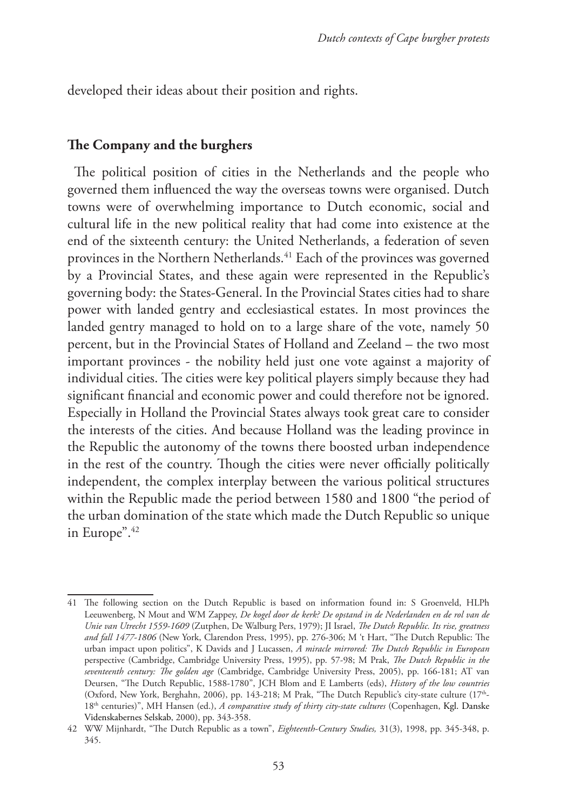developed their ideas about their position and rights.

#### **The Company and the burghers**

The political position of cities in the Netherlands and the people who governed them influenced the way the overseas towns were organised. Dutch towns were of overwhelming importance to Dutch economic, social and cultural life in the new political reality that had come into existence at the end of the sixteenth century: the United Netherlands, a federation of seven provinces in the Northern Netherlands.41 Each of the provinces was governed by a Provincial States, and these again were represented in the Republic's governing body: the States-General. In the Provincial States cities had to share power with landed gentry and ecclesiastical estates. In most provinces the landed gentry managed to hold on to a large share of the vote, namely 50 percent, but in the Provincial States of Holland and Zeeland – the two most important provinces - the nobility held just one vote against a majority of individual cities. The cities were key political players simply because they had significant financial and economic power and could therefore not be ignored. Especially in Holland the Provincial States always took great care to consider the interests of the cities. And because Holland was the leading province in the Republic the autonomy of the towns there boosted urban independence in the rest of the country. Though the cities were never officially politically independent, the complex interplay between the various political structures within the Republic made the period between 1580 and 1800 "the period of the urban domination of the state which made the Dutch Republic so unique in Europe".<sup>42</sup>

<sup>41</sup> The following section on the Dutch Republic is based on information found in: S Groenveld, HLPh Leeuwenberg, N Mout and WM Zappey, *De kogel door de kerk? De opstand in de Nederlanden en de rol van de Unie van Utrecht 1559-1609* (Zutphen, De Walburg Pers, 1979); JI Israel, *The Dutch Republic. Its rise, greatness and fall 1477-1806* (New York, Clarendon Press, 1995), pp. 276-306; M 't Hart, "The Dutch Republic: The urban impact upon politics", K Davids and J Lucassen, *A miracle mirrored: The Dutch Republic in European*  perspective (Cambridge, Cambridge University Press, 1995), pp. 57-98; M Prak, *The Dutch Republic in the seventeenth century: The golden age* (Cambridge, Cambridge University Press, 2005), pp. 166-181; AT van Deursen, "The Dutch Republic, 1588-1780", JCH Blom and E Lamberts (eds), *History of the low countries* (Oxford, New York, Berghahn, 2006), pp. 143-218; M Prak, "The Dutch Republic's city-state culture (17<sup>th</sup>-18th centuries)", MH Hansen (ed.), *A comparative study of thirty city-state cultures* (Copenhagen, Kgl. Danske Videnskabernes Selskab, 2000), pp. 343-358.

<sup>42</sup> WW Mijnhardt, "The Dutch Republic as a town", *Eighteenth-Century Studies,* 31(3), 1998, pp. 345-348, p. 345.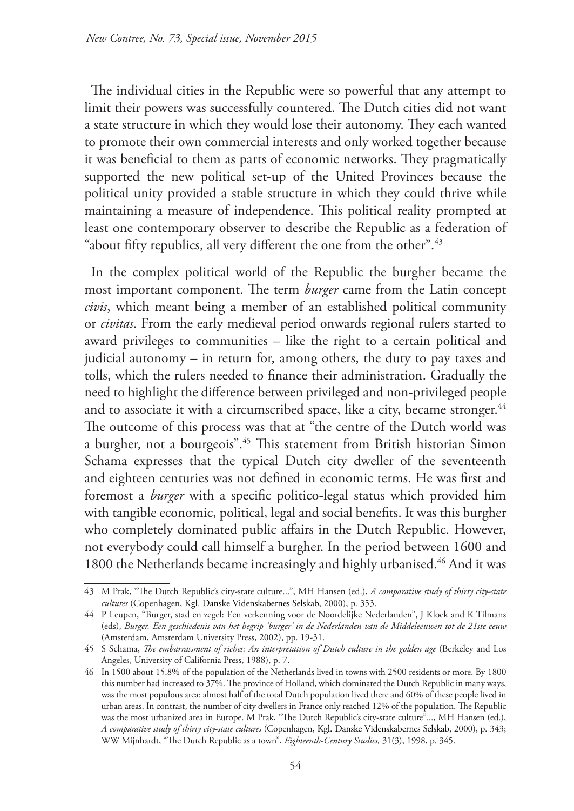The individual cities in the Republic were so powerful that any attempt to limit their powers was successfully countered. The Dutch cities did not want a state structure in which they would lose their autonomy. They each wanted to promote their own commercial interests and only worked together because it was beneficial to them as parts of economic networks. They pragmatically supported the new political set-up of the United Provinces because the political unity provided a stable structure in which they could thrive while maintaining a measure of independence. This political reality prompted at least one contemporary observer to describe the Republic as a federation of "about fifty republics, all very different the one from the other".<sup>43</sup>

In the complex political world of the Republic the burgher became the most important component. The term *burger* came from the Latin concept *civis*, which meant being a member of an established political community or *civitas*. From the early medieval period onwards regional rulers started to award privileges to communities – like the right to a certain political and judicial autonomy – in return for, among others, the duty to pay taxes and tolls, which the rulers needed to finance their administration. Gradually the need to highlight the difference between privileged and non-privileged people and to associate it with a circumscribed space, like a city, became stronger.<sup>44</sup> The outcome of this process was that at "the centre of the Dutch world was a burgher, not a bourgeois".45 This statement from British historian Simon Schama expresses that the typical Dutch city dweller of the seventeenth and eighteen centuries was not defined in economic terms. He was first and foremost a *burger* with a specific politico-legal status which provided him with tangible economic, political, legal and social benefits. It was this burgher who completely dominated public affairs in the Dutch Republic. However, not everybody could call himself a burgher. In the period between 1600 and 1800 the Netherlands became increasingly and highly urbanised.46 And it was

<sup>43</sup> M Prak, "The Dutch Republic's city-state culture...", MH Hansen (ed.), *A comparative study of thirty city-state cultures* (Copenhagen, Kgl. Danske Videnskabernes Selskab, 2000), p. 353.

<sup>44</sup> P Leupen, "Burger, stad en zegel: Een verkenning voor de Noordelijke Nederlanden", J Kloek and K Tilmans (eds), *Burger. Een geschiedenis van het begrip 'burger' in de Nederlanden van de Middeleeuwen tot de 21ste eeuw* (Amsterdam, Amsterdam University Press, 2002), pp. 19-31.

<sup>45</sup> S Schama, *The embarrassment of riches: An interpretation of Dutch culture in the golden age* (Berkeley and Los Angeles, University of California Press, 1988), p. 7.

<sup>46</sup> In 1500 about 15.8% of the population of the Netherlands lived in towns with 2500 residents or more. By 1800 this number had increased to 37%. The province of Holland, which dominated the Dutch Republic in many ways, was the most populous area: almost half of the total Dutch population lived there and 60% of these people lived in urban areas. In contrast, the number of city dwellers in France only reached 12% of the population. The Republic was the most urbanized area in Europe. M Prak, "The Dutch Republic's city-state culture"..., MH Hansen (ed.), *A comparative study of thirty city-state cultures* (Copenhagen, Kgl. Danske Videnskabernes Selskab, 2000), p. 343; WW Mijnhardt, "The Dutch Republic as a town", *Eighteenth-Century Studies,* 31(3), 1998, p. 345.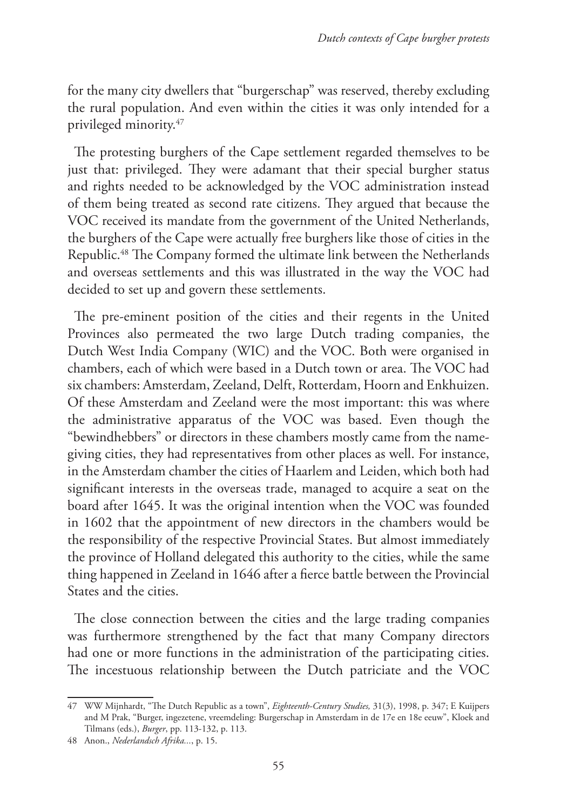for the many city dwellers that "burgerschap" was reserved, thereby excluding the rural population. And even within the cities it was only intended for a privileged minority.47

The protesting burghers of the Cape settlement regarded themselves to be just that: privileged. They were adamant that their special burgher status and rights needed to be acknowledged by the VOC administration instead of them being treated as second rate citizens. They argued that because the VOC received its mandate from the government of the United Netherlands, the burghers of the Cape were actually free burghers like those of cities in the Republic.48 The Company formed the ultimate link between the Netherlands and overseas settlements and this was illustrated in the way the VOC had decided to set up and govern these settlements.

The pre-eminent position of the cities and their regents in the United Provinces also permeated the two large Dutch trading companies, the Dutch West India Company (WIC) and the VOC. Both were organised in chambers, each of which were based in a Dutch town or area. The VOC had six chambers: Amsterdam, Zeeland, Delft, Rotterdam, Hoorn and Enkhuizen. Of these Amsterdam and Zeeland were the most important: this was where the administrative apparatus of the VOC was based. Even though the "bewindhebbers" or directors in these chambers mostly came from the namegiving cities, they had representatives from other places as well. For instance, in the Amsterdam chamber the cities of Haarlem and Leiden, which both had significant interests in the overseas trade, managed to acquire a seat on the board after 1645. It was the original intention when the VOC was founded in 1602 that the appointment of new directors in the chambers would be the responsibility of the respective Provincial States. But almost immediately the province of Holland delegated this authority to the cities, while the same thing happened in Zeeland in 1646 after a fierce battle between the Provincial States and the cities.

The close connection between the cities and the large trading companies was furthermore strengthened by the fact that many Company directors had one or more functions in the administration of the participating cities. The incestuous relationship between the Dutch patriciate and the VOC

<sup>47</sup> WW Mijnhardt, "The Dutch Republic as a town", *Eighteenth-Century Studies,* 31(3), 1998, p. 347; E Kuijpers and M Prak, "Burger, ingezetene, vreemdeling: Burgerschap in Amsterdam in de 17e en 18e eeuw", Kloek and Tilmans (eds.), *Burger*, pp. 113-132, p. 113.

<sup>48</sup> Anon., *Nederlandsch Afrika...*, p. 15.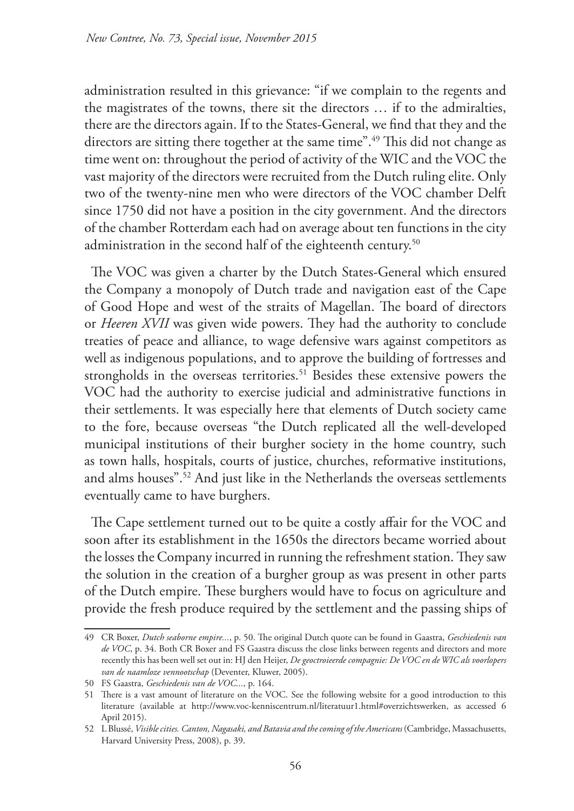administration resulted in this grievance: "if we complain to the regents and the magistrates of the towns, there sit the directors … if to the admiralties, there are the directors again. If to the States-General, we find that they and the directors are sitting there together at the same time".<sup>49</sup> This did not change as time went on: throughout the period of activity of the WIC and the VOC the vast majority of the directors were recruited from the Dutch ruling elite. Only two of the twenty-nine men who were directors of the VOC chamber Delft since 1750 did not have a position in the city government. And the directors of the chamber Rotterdam each had on average about ten functions in the city administration in the second half of the eighteenth century.<sup>50</sup>

The VOC was given a charter by the Dutch States-General which ensured the Company a monopoly of Dutch trade and navigation east of the Cape of Good Hope and west of the straits of Magellan. The board of directors or *Heeren XVII* was given wide powers. They had the authority to conclude treaties of peace and alliance, to wage defensive wars against competitors as well as indigenous populations, and to approve the building of fortresses and strongholds in the overseas territories.<sup>51</sup> Besides these extensive powers the VOC had the authority to exercise judicial and administrative functions in their settlements. It was especially here that elements of Dutch society came to the fore, because overseas "the Dutch replicated all the well-developed municipal institutions of their burgher society in the home country, such as town halls, hospitals, courts of justice, churches, reformative institutions, and alms houses".52 And just like in the Netherlands the overseas settlements eventually came to have burghers.

The Cape settlement turned out to be quite a costly affair for the VOC and soon after its establishment in the 1650s the directors became worried about the losses the Company incurred in running the refreshment station. They saw the solution in the creation of a burgher group as was present in other parts of the Dutch empire. These burghers would have to focus on agriculture and provide the fresh produce required by the settlement and the passing ships of

<sup>49</sup> CR Boxer, *Dutch seaborne empire...*, p. 50. The original Dutch quote can be found in Gaastra, *Geschiedenis van de VOC*, p. 34. Both CR Boxer and FS Gaastra discuss the close links between regents and directors and more recently this has been well set out in: HJ den Heijer, *De geoctroieerde compagnie: De VOC en de WIC als voorlopers van de naamloze vennootschap* (Deventer, Kluwer, 2005).

<sup>50</sup> FS Gaastra, *Geschiedenis van de VOC...*, p. 164.

<sup>51</sup> There is a vast amount of literature on the VOC. See the following website for a good introduction to this literature (available at http://www.voc-kenniscentrum.nl/literatuur1.html#overzichtswerken, as accessed 6 April 2015).

<sup>52</sup> L Blussé, *Visible cities. Canton, Nagasaki, and Batavia and the coming of the Americans* (Cambridge, Massachusetts, Harvard University Press, 2008), p. 39.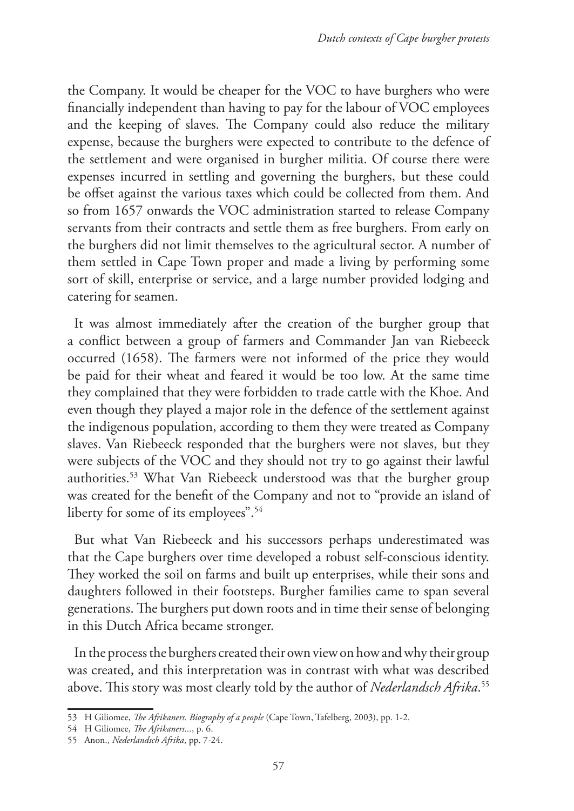the Company. It would be cheaper for the VOC to have burghers who were financially independent than having to pay for the labour of VOC employees and the keeping of slaves. The Company could also reduce the military expense, because the burghers were expected to contribute to the defence of the settlement and were organised in burgher militia. Of course there were expenses incurred in settling and governing the burghers, but these could be offset against the various taxes which could be collected from them. And so from 1657 onwards the VOC administration started to release Company servants from their contracts and settle them as free burghers. From early on the burghers did not limit themselves to the agricultural sector. A number of them settled in Cape Town proper and made a living by performing some sort of skill, enterprise or service, and a large number provided lodging and catering for seamen.

It was almost immediately after the creation of the burgher group that a conflict between a group of farmers and Commander Jan van Riebeeck occurred (1658). The farmers were not informed of the price they would be paid for their wheat and feared it would be too low. At the same time they complained that they were forbidden to trade cattle with the Khoe. And even though they played a major role in the defence of the settlement against the indigenous population, according to them they were treated as Company slaves. Van Riebeeck responded that the burghers were not slaves, but they were subjects of the VOC and they should not try to go against their lawful authorities.53 What Van Riebeeck understood was that the burgher group was created for the benefit of the Company and not to "provide an island of liberty for some of its employees".<sup>54</sup>

But what Van Riebeeck and his successors perhaps underestimated was that the Cape burghers over time developed a robust self-conscious identity. They worked the soil on farms and built up enterprises, while their sons and daughters followed in their footsteps. Burgher families came to span several generations. The burghers put down roots and in time their sense of belonging in this Dutch Africa became stronger.

In the process the burghers created their own view on how and why their group was created, and this interpretation was in contrast with what was described above. This story was most clearly told by the author of *Nederlandsch Afrika*. 55

<sup>53</sup> H Giliomee, *The Afrikaners. Biography of a people* (Cape Town, Tafelberg, 2003), pp. 1-2.

<sup>54</sup> H Giliomee, *The Afrikaners...*, p. 6.

<sup>55</sup> Anon., *Nederlandsch Afrika*, pp. 7-24.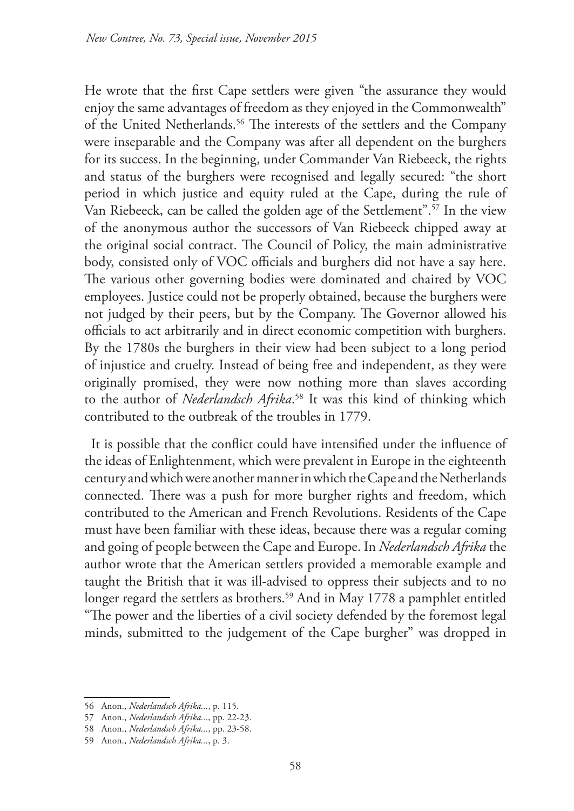He wrote that the first Cape settlers were given "the assurance they would enjoy the same advantages of freedom as they enjoyed in the Commonwealth" of the United Netherlands.56 The interests of the settlers and the Company were inseparable and the Company was after all dependent on the burghers for its success. In the beginning, under Commander Van Riebeeck, the rights and status of the burghers were recognised and legally secured: "the short period in which justice and equity ruled at the Cape, during the rule of Van Riebeeck, can be called the golden age of the Settlement".57 In the view of the anonymous author the successors of Van Riebeeck chipped away at the original social contract. The Council of Policy, the main administrative body, consisted only of VOC officials and burghers did not have a say here. The various other governing bodies were dominated and chaired by VOC employees. Justice could not be properly obtained, because the burghers were not judged by their peers, but by the Company. The Governor allowed his officials to act arbitrarily and in direct economic competition with burghers. By the 1780s the burghers in their view had been subject to a long period of injustice and cruelty. Instead of being free and independent, as they were originally promised, they were now nothing more than slaves according to the author of *Nederlandsch Afrika*. 58 It was this kind of thinking which contributed to the outbreak of the troubles in 1779.

It is possible that the conflict could have intensified under the influence of the ideas of Enlightenment, which were prevalent in Europe in the eighteenth century and which were another manner in which the Cape and the Netherlands connected. There was a push for more burgher rights and freedom, which contributed to the American and French Revolutions. Residents of the Cape must have been familiar with these ideas, because there was a regular coming and going of people between the Cape and Europe. In *Nederlandsch Afrika* the author wrote that the American settlers provided a memorable example and taught the British that it was ill-advised to oppress their subjects and to no longer regard the settlers as brothers.<sup>59</sup> And in May 1778 a pamphlet entitled "The power and the liberties of a civil society defended by the foremost legal minds, submitted to the judgement of the Cape burgher" was dropped in

<sup>56</sup> Anon., *Nederlandsch Afrika...*, p. 115.

<sup>57</sup> Anon., *Nederlandsch Afrika...*, pp. 22-23.

<sup>58</sup> Anon., *Nederlandsch Afrika...*, pp. 23-58.

<sup>59</sup> Anon., *Nederlandsch Afrika...*, p. 3.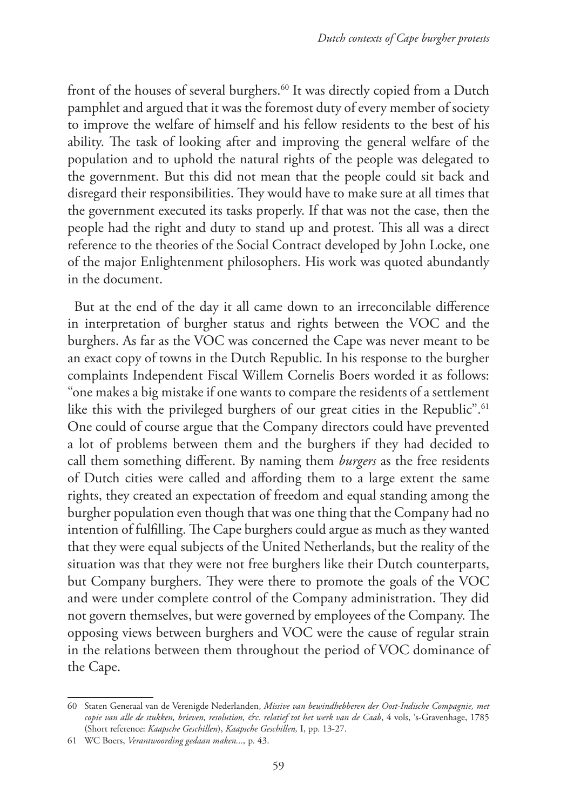front of the houses of several burghers.<sup>60</sup> It was directly copied from a Dutch pamphlet and argued that it was the foremost duty of every member of society to improve the welfare of himself and his fellow residents to the best of his ability. The task of looking after and improving the general welfare of the population and to uphold the natural rights of the people was delegated to the government. But this did not mean that the people could sit back and disregard their responsibilities. They would have to make sure at all times that the government executed its tasks properly. If that was not the case, then the people had the right and duty to stand up and protest. This all was a direct reference to the theories of the Social Contract developed by John Locke, one of the major Enlightenment philosophers. His work was quoted abundantly in the document.

But at the end of the day it all came down to an irreconcilable difference in interpretation of burgher status and rights between the VOC and the burghers. As far as the VOC was concerned the Cape was never meant to be an exact copy of towns in the Dutch Republic. In his response to the burgher complaints Independent Fiscal Willem Cornelis Boers worded it as follows: "one makes a big mistake if one wants to compare the residents of a settlement like this with the privileged burghers of our great cities in the Republic".<sup>61</sup> One could of course argue that the Company directors could have prevented a lot of problems between them and the burghers if they had decided to call them something different. By naming them *burgers* as the free residents of Dutch cities were called and affording them to a large extent the same rights, they created an expectation of freedom and equal standing among the burgher population even though that was one thing that the Company had no intention of fulfilling. The Cape burghers could argue as much as they wanted that they were equal subjects of the United Netherlands, but the reality of the situation was that they were not free burghers like their Dutch counterparts, but Company burghers. They were there to promote the goals of the VOC and were under complete control of the Company administration. They did not govern themselves, but were governed by employees of the Company. The opposing views between burghers and VOC were the cause of regular strain in the relations between them throughout the period of VOC dominance of the Cape.

<sup>60</sup> Staten Generaal van de Verenigde Nederlanden, *Missive van bewindhebberen der Oost-Indische Compagnie, met copie van alle de stukken, brieven, resolution, &c. relatief tot het werk van de Caab*, 4 vols, 's-Gravenhage, 1785 (Short reference: *Kaapsche Geschillen*), *Kaapsche Geschillen,* I, pp. 13-27.

<sup>61</sup> WC Boers, *Verantwoording gedaan maken...,* p. 43.